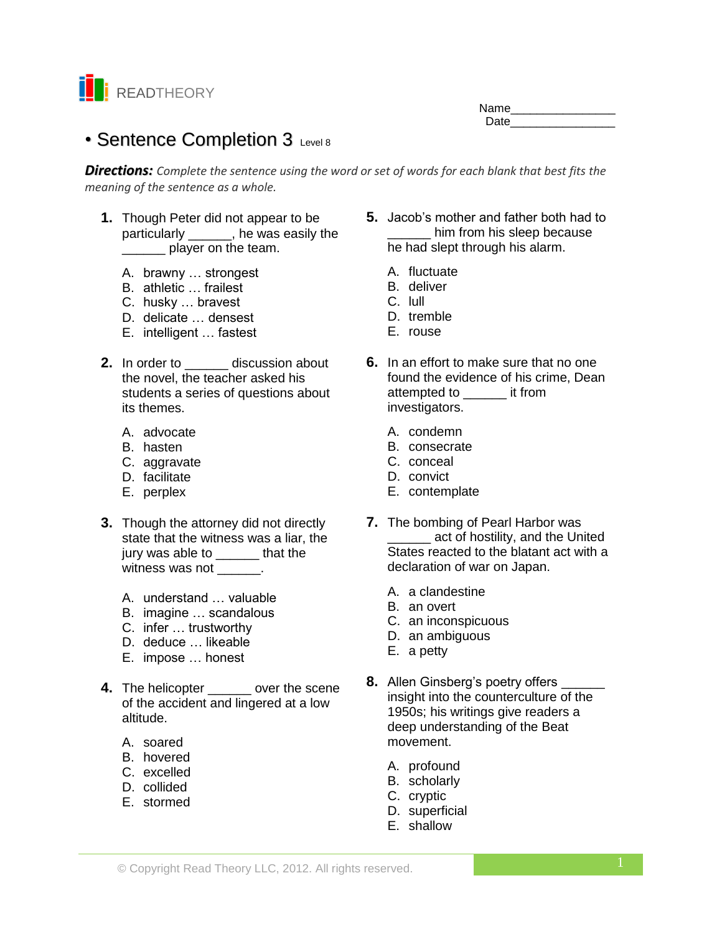

Name\_\_\_\_\_\_\_\_\_\_\_\_\_\_\_\_ Date **Date** 

# • Sentence Completion 3 Level 8

*Directions: Complete the sentence using the word or set of words for each blank that best fits the meaning of the sentence as a whole.*

- **1.** Though Peter did not appear to be particularly \_\_\_\_\_\_, he was easily the player on the team.
	- A. brawny … strongest
	- B. athletic … frailest
	- C. husky … bravest
	- D. delicate … densest
	- E. intelligent … fastest
- **2.** In order to **discussion about** the novel, the teacher asked his students a series of questions about its themes.
	- A. advocate
	- B. hasten
	- C. aggravate
	- D. facilitate
	- E. perplex
- **3.** Though the attorney did not directly state that the witness was a liar, the jury was able to \_\_\_\_\_\_ that the witness was not \_\_\_\_\_\_.
	- A. understand … valuable
	- B. imagine … scandalous
	- C. infer … trustworthy
	- D. deduce … likeable
	- E. impose … honest
- **4.** The helicopter over the scene of the accident and lingered at a low altitude.
	- A. soared
	- B. hovered
	- C. excelled
	- D. collided
	- E. stormed
- **5.** Jacob's mother and father both had to him from his sleep because he had slept through his alarm.
	- A. fluctuate
	- B. deliver
	- C. lull
	- D. tremble
	- E. rouse
- **6.** In an effort to make sure that no one found the evidence of his crime, Dean attempted to \_\_\_\_\_\_ it from investigators.
	- A. condemn
	- B. consecrate
	- C. conceal
	- D. convict
	- E. contemplate
- **7.** The bombing of Pearl Harbor was \_\_\_\_\_\_ act of hostility, and the United States reacted to the blatant act with a declaration of war on Japan.
	- A. a clandestine
	- B. an overt
	- C. an inconspicuous
	- D. an ambiguous
	- E. a petty
- **8.** Allen Ginsberg's poetry offers insight into the counterculture of the 1950s; his writings give readers a deep understanding of the Beat movement.
	- A. profound
	- B. scholarly
	- C. cryptic
	- D. superficial
	- E. shallow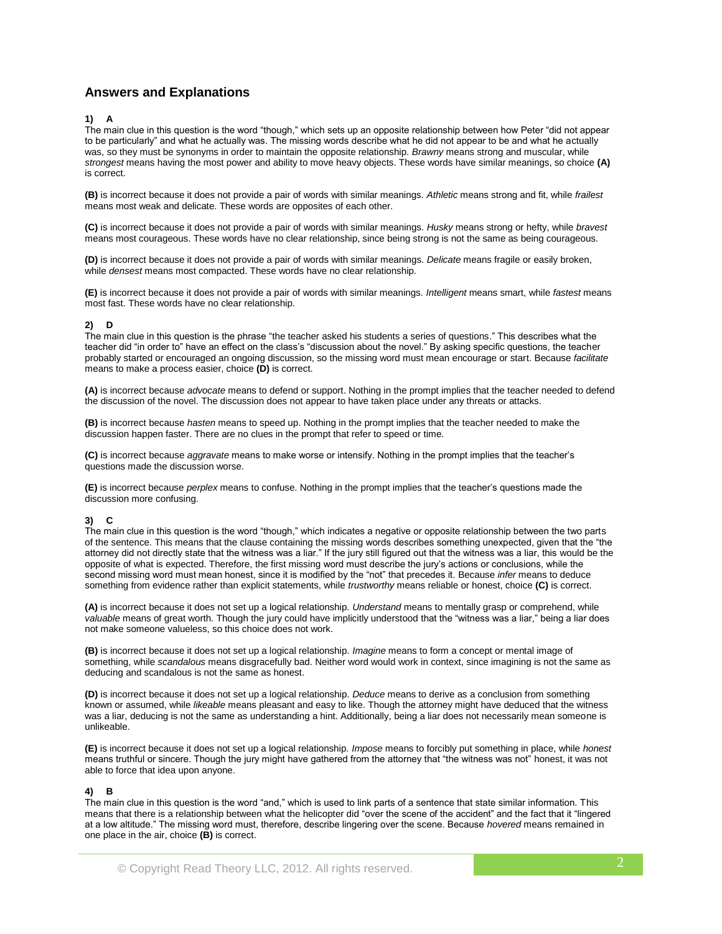# **Answers and Explanations**

# **1) A**

The main clue in this question is the word "though," which sets up an opposite relationship between how Peter "did not appear to be particularly" and what he actually was. The missing words describe what he did not appear to be and what he actually was, so they must be synonyms in order to maintain the opposite relationship. *Brawny* means strong and muscular, while *strongest* means having the most power and ability to move heavy objects. These words have similar meanings, so choice **(A)** is correct.

**(B)** is incorrect because it does not provide a pair of words with similar meanings. *Athletic* means strong and fit, while *frailest*  means most weak and delicate. These words are opposites of each other.

**(C)** is incorrect because it does not provide a pair of words with similar meanings. *Husky* means strong or hefty, while *bravest*  means most courageous. These words have no clear relationship, since being strong is not the same as being courageous.

**(D)** is incorrect because it does not provide a pair of words with similar meanings. *Delicate* means fragile or easily broken, while *densest* means most compacted. These words have no clear relationship.

**(E)** is incorrect because it does not provide a pair of words with similar meanings. *Intelligent* means smart, while *fastest* means most fast. These words have no clear relationship.

## **2) D**

The main clue in this question is the phrase "the teacher asked his students a series of questions." This describes what the teacher did "in order to" have an effect on the class's "discussion about the novel." By asking specific questions, the teacher probably started or encouraged an ongoing discussion, so the missing word must mean encourage or start. Because *facilitate*  means to make a process easier, choice **(D)** is correct.

**(A)** is incorrect because *advocate* means to defend or support. Nothing in the prompt implies that the teacher needed to defend the discussion of the novel. The discussion does not appear to have taken place under any threats or attacks.

**(B)** is incorrect because *hasten* means to speed up. Nothing in the prompt implies that the teacher needed to make the discussion happen faster. There are no clues in the prompt that refer to speed or time.

**(C)** is incorrect because *aggravate* means to make worse or intensify. Nothing in the prompt implies that the teacher's questions made the discussion worse.

**(E)** is incorrect because *perplex* means to confuse. Nothing in the prompt implies that the teacher's questions made the discussion more confusing.

# **3) C**

The main clue in this question is the word "though," which indicates a negative or opposite relationship between the two parts of the sentence. This means that the clause containing the missing words describes something unexpected, given that the "the attorney did not directly state that the witness was a liar." If the jury still figured out that the witness was a liar, this would be the opposite of what is expected. Therefore, the first missing word must describe the jury's actions or conclusions, while the second missing word must mean honest, since it is modified by the "not" that precedes it. Because *infer* means to deduce something from evidence rather than explicit statements, while *trustworthy* means reliable or honest, choice **(C)** is correct.

**(A)** is incorrect because it does not set up a logical relationship. *Understand* means to mentally grasp or comprehend, while *valuable* means of great worth. Though the jury could have implicitly understood that the "witness was a liar," being a liar does not make someone valueless, so this choice does not work.

**(B)** is incorrect because it does not set up a logical relationship. *Imagine* means to form a concept or mental image of something, while *scandalous* means disgracefully bad. Neither word would work in context, since imagining is not the same as deducing and scandalous is not the same as honest.

**(D)** is incorrect because it does not set up a logical relationship. *Deduce* means to derive as a conclusion from something known or assumed, while *likeable* means pleasant and easy to like. Though the attorney might have deduced that the witness was a liar, deducing is not the same as understanding a hint. Additionally, being a liar does not necessarily mean someone is unlikeable.

**(E)** is incorrect because it does not set up a logical relationship. *Impose* means to forcibly put something in place, while *honest*  means truthful or sincere. Though the jury might have gathered from the attorney that "the witness was not" honest, it was not able to force that idea upon anyone.

## **4) B**

The main clue in this question is the word "and," which is used to link parts of a sentence that state similar information. This means that there is a relationship between what the helicopter did "over the scene of the accident" and the fact that it "lingered at a low altitude." The missing word must, therefore, describe lingering over the scene. Because *hovered* means remained in one place in the air, choice **(B)** is correct.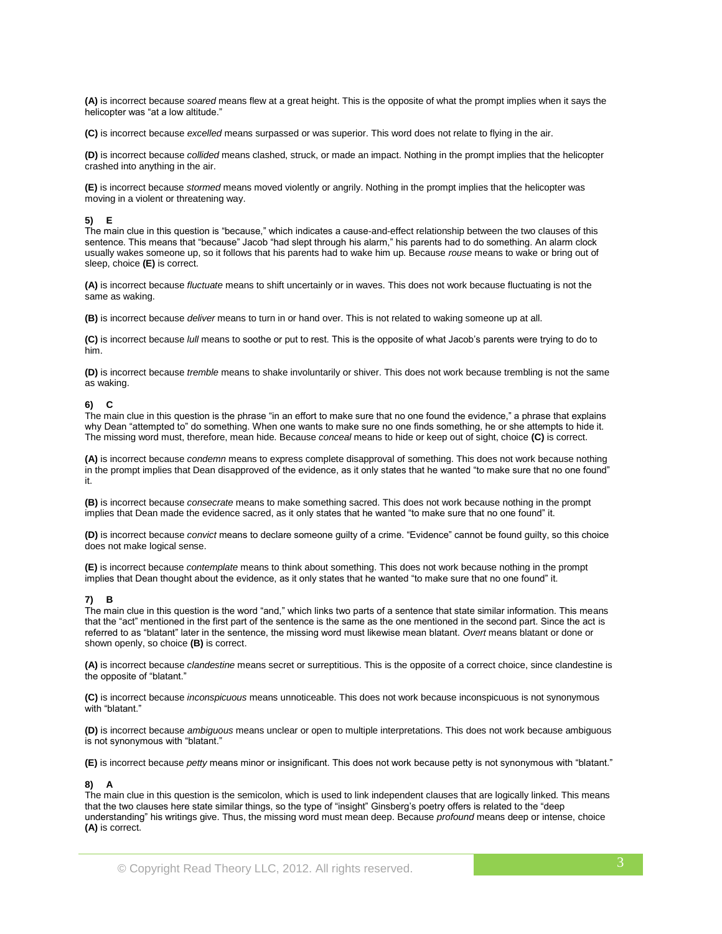**(A)** is incorrect because *soared* means flew at a great height. This is the opposite of what the prompt implies when it says the helicopter was "at a low altitude."

**(C)** is incorrect because *excelled* means surpassed or was superior. This word does not relate to flying in the air.

**(D)** is incorrect because *collided* means clashed, struck, or made an impact. Nothing in the prompt implies that the helicopter crashed into anything in the air.

**(E)** is incorrect because *stormed* means moved violently or angrily. Nothing in the prompt implies that the helicopter was moving in a violent or threatening way.

#### **5) E**

The main clue in this question is "because," which indicates a cause-and-effect relationship between the two clauses of this sentence. This means that "because" Jacob "had slept through his alarm," his parents had to do something. An alarm clock usually wakes someone up, so it follows that his parents had to wake him up. Because *rouse* means to wake or bring out of sleep, choice **(E)** is correct.

**(A)** is incorrect because *fluctuate* means to shift uncertainly or in waves. This does not work because fluctuating is not the same as waking.

**(B)** is incorrect because *deliver* means to turn in or hand over. This is not related to waking someone up at all.

**(C)** is incorrect because *lull* means to soothe or put to rest. This is the opposite of what Jacob's parents were trying to do to him.

**(D)** is incorrect because *tremble* means to shake involuntarily or shiver. This does not work because trembling is not the same as waking.

#### **6) C**

The main clue in this question is the phrase "in an effort to make sure that no one found the evidence," a phrase that explains why Dean "attempted to" do something. When one wants to make sure no one finds something, he or she attempts to hide it. The missing word must, therefore, mean hide. Because *conceal* means to hide or keep out of sight, choice **(C)** is correct.

**(A)** is incorrect because *condemn* means to express complete disapproval of something. This does not work because nothing in the prompt implies that Dean disapproved of the evidence, as it only states that he wanted "to make sure that no one found" it.

**(B)** is incorrect because *consecrate* means to make something sacred. This does not work because nothing in the prompt implies that Dean made the evidence sacred, as it only states that he wanted "to make sure that no one found" it.

**(D)** is incorrect because *convict* means to declare someone guilty of a crime. "Evidence" cannot be found guilty, so this choice does not make logical sense.

**(E)** is incorrect because *contemplate* means to think about something. This does not work because nothing in the prompt implies that Dean thought about the evidence, as it only states that he wanted "to make sure that no one found" it.

#### **7) B**

The main clue in this question is the word "and," which links two parts of a sentence that state similar information. This means that the "act" mentioned in the first part of the sentence is the same as the one mentioned in the second part. Since the act is referred to as "blatant" later in the sentence, the missing word must likewise mean blatant. *Overt* means blatant or done or shown openly, so choice **(B)** is correct.

**(A)** is incorrect because *clandestine* means secret or surreptitious. This is the opposite of a correct choice, since clandestine is the opposite of "blatant."

**(C)** is incorrect because *inconspicuous* means unnoticeable. This does not work because inconspicuous is not synonymous with "blatant."

**(D)** is incorrect because *ambiguous* means unclear or open to multiple interpretations. This does not work because ambiguous is not synonymous with "blatant."

**(E)** is incorrect because *petty* means minor or insignificant. This does not work because petty is not synonymous with "blatant."

#### **8) A**

The main clue in this question is the semicolon, which is used to link independent clauses that are logically linked. This means that the two clauses here state similar things, so the type of "insight" Ginsberg's poetry offers is related to the "deep understanding" his writings give. Thus, the missing word must mean deep. Because *profound* means deep or intense, choice **(A)** is correct.